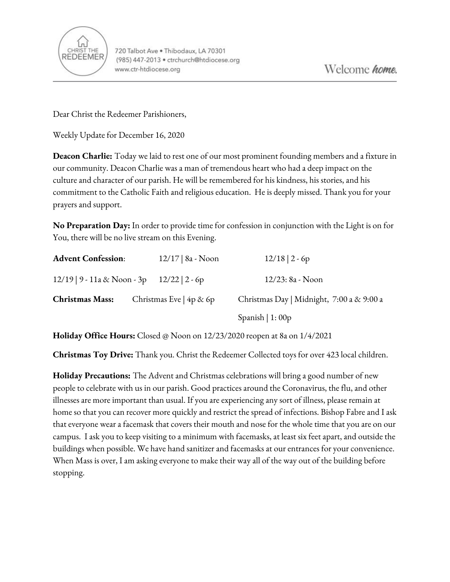

Dear Christ the Redeemer Parishioners,

Weekly Update for December 16, 2020

**Deacon Charlie:** Today we laid to rest one of our most prominent founding members and a fixture in our community. Deacon Charlie was a man of tremendous heart who had a deep impact on the culture and character of our parish. He will be remembered for his kindness, his stories, and his commitment to the Catholic Faith and religious education. He is deeply missed. Thank you for your prayers and support.

**No Preparation Day:** In order to provide time for confession in conjunction with the Light is on for You, there will be no live stream on this Evening.

| <b>Advent Confession:</b>                    | $12/17$   8a - Noon      | $12/18$   2 - 6p                          |
|----------------------------------------------|--------------------------|-------------------------------------------|
| $12/19$   9 - 11a & Noon - 3p 12/22   2 - 6p |                          | 12/23: 8a - Noon                          |
| <b>Christmas Mass:</b>                       | Christmas Eve $4p \& 6p$ | Christmas Day   Midnight, 7:00 a & 9:00 a |
|                                              |                          | Spanish $  1: 00p$                        |

**Holiday Office Hours:** Closed @ Noon on 12/23/2020 reopen at 8a on 1/4/2021

**Christmas Toy Drive:** Thank you. Christ the Redeemer Collected toys for over 423 local children.

**Holiday Precautions:** The Advent and Christmas celebrations will bring a good number of new people to celebrate with us in our parish. Good practices around the Coronavirus, the flu, and other illnesses are more important than usual. If you are experiencing any sort of illness, please remain at home so that you can recover more quickly and restrict the spread of infections. Bishop Fabre and I ask that everyone wear a facemask that covers their mouth and nose for the whole time that you are on our campus. I ask you to keep visiting to a minimum with facemasks, at least six feet apart, and outside the buildings when possible. We have hand sanitizer and facemasks at our entrances for your convenience. When Mass is over, I am asking everyone to make their way all of the way out of the building before stopping.